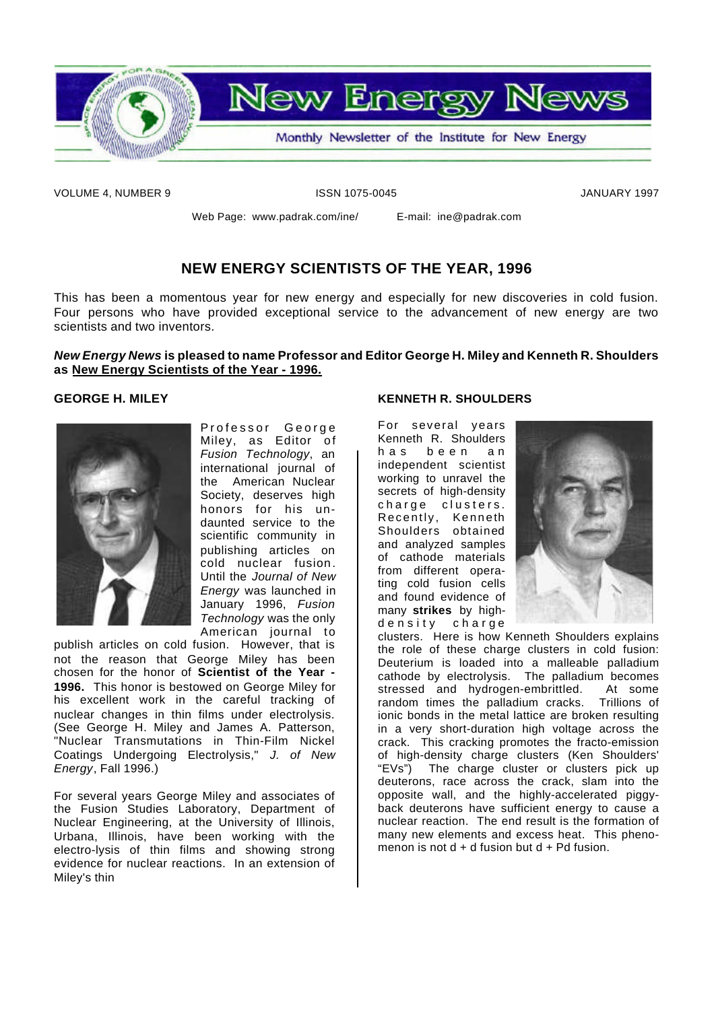

VOLUME 4, NUMBER 9 ISSN 1075-0045 JANUARY 1997

Web Page: www.padrak.com/ine/ E-mail: ine@padrak.com

## **NEW ENERGY SCIENTISTS OF THE YEAR, 1996**

This has been a momentous year for new energy and especially for new discoveries in cold fusion. Four persons who have provided exceptional service to the advancement of new energy are two scientists and two inventors.

#### *New Energy News* **is pleased to name Professor and Editor George H. Miley and Kenneth R. Shoulders as New Energy Scientists of the Year - 1996.**

#### **GEORGE H. MILEY**



Professor George Miley, as Editor of *Fusion Technology*, an international journal of the American Nuclear Society, deserves high honors for his undaunted service to the scientific community in publishing articles on cold nuclear fusion . Until the *Journal of New Energy* was launched in January 1996, *Fusion Technology* was the only American journal to

publish articles on cold fusion. However, that is not the reason that George Miley has been chosen for the honor of **Scientist of the Year - 1996.** This honor is bestowed on George Miley for his excellent work in the careful tracking of nuclear changes in thin films under electrolysis. (See George H. Miley and James A. Patterson, "Nuclear Transmutations in Thin-Film Nickel Coatings Undergoing Electrolysis," *J. of New Energy*, Fall 1996.)

For several years George Miley and associates of the Fusion Studies Laboratory, Department of Nuclear Engineering, at the University of Illinois, Urbana, Illinois, have been working with the electro-lysis of thin films and showing strong evidence for nuclear reactions. In an extension of Miley's thin

#### **KENNETH R. SHOULDERS**

For several years Kenneth R. Shoulders has been an independent scientist working to unravel the secrets of high-density charge clusters. Recently, Kenneth Shoulders obtained and analyzed samples of cathode materials from different operating cold fusion cells and found evidence of many **strikes** by highdensity charge



clusters. Here is how Kenneth Shoulders explains the role of these charge clusters in cold fusion: Deuterium is loaded into a malleable palladium cathode by electrolysis. The palladium becomes stressed and hydrogen-embrittled. At some random times the palladium cracks. Trillions of ionic bonds in the metal lattice are broken resulting in a very short-duration high voltage across the crack. This cracking promotes the fracto-emission of high-density charge clusters (Ken Shoulders' "EVs") The charge cluster or clusters pick up deuterons, race across the crack, slam into the opposite wall, and the highly-accelerated piggyback deuterons have sufficient energy to cause a nuclear reaction. The end result is the formation of many new elements and excess heat. This phenomenon is not  $d + d$  fusion but  $d + Pd$  fusion.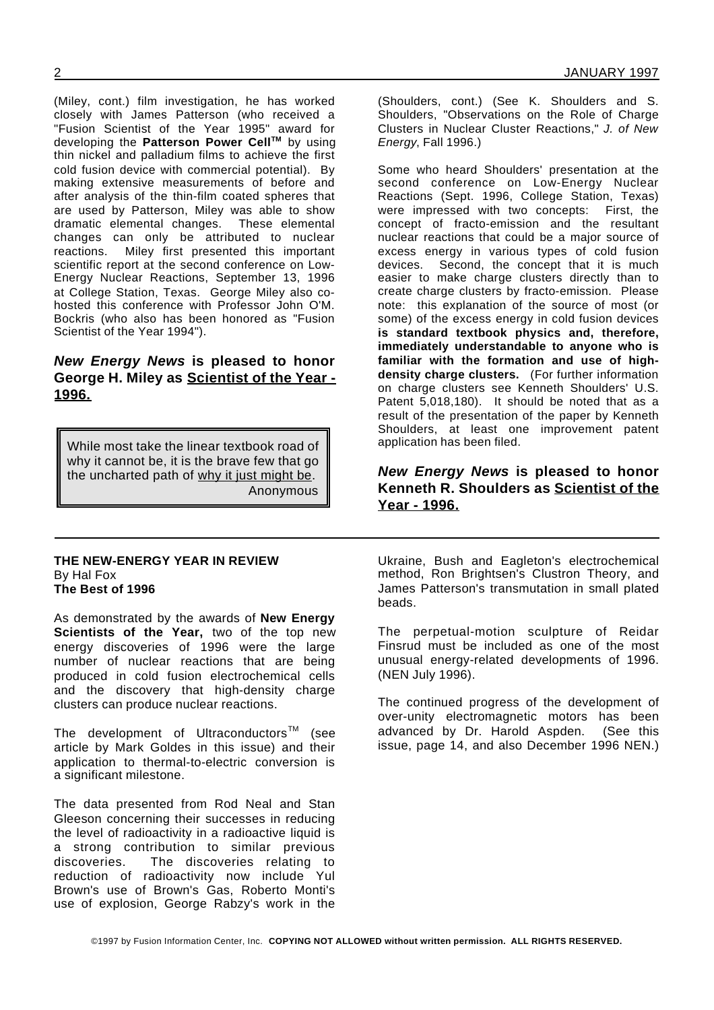(Miley, cont.) film investigation, he has worked closely with James Patterson (who received a "Fusion Scientist of the Year 1995" award for developing the **Patterson Power CellTM** by using thin nickel and palladium films to achieve the first cold fusion device with commercial potential). By making extensive measurements of before and after analysis of the thin-film coated spheres that are used by Patterson, Miley was able to show dramatic elemental changes. changes can only be attributed to nuclear reactions. Miley first presented this important scientific report at the second conference on Low-Energy Nuclear Reactions, September 13, 1996 at College Station, Texas. George Miley also cohosted this conference with Professor John O'M. Bockris (who also has been honored as "Fusion Scientist of the Year 1994").

### *New Energy News* **is pleased to honor George H. Miley as Scientist of the Year - 1996.**

While most take the linear textbook road of why it cannot be, it is the brave few that go the uncharted path of why it just might be. Anonymous

#### **THE NEW-ENERGY YEAR IN REVIEW** By Hal Fox **The Best of 1996**

As demonstrated by the awards of **New Energy Scientists of the Year,** two of the top new energy discoveries of 1996 were the large number of nuclear reactions that are being produced in cold fusion electrochemical cells and the discovery that high-density charge clusters can produce nuclear reactions.

The development of Ultraconductors<sup>TM</sup> (see article by Mark Goldes in this issue) and their application to thermal-to-electric conversion is a significant milestone.

The data presented from Rod Neal and Stan Gleeson concerning their successes in reducing the level of radioactivity in a radioactive liquid is a strong contribution to similar previous discoveries. The discoveries relating to reduction of radioactivity now include Yul Brown's use of Brown's Gas, Roberto Monti's use of explosion, George Rabzy's work in the

(Shoulders, cont.) (See K. Shoulders and S. Shoulders, "Observations on the Role of Charge Clusters in Nuclear Cluster Reactions," *J. of New Energy*, Fall 1996.)

Some who heard Shoulders' presentation at the second conference on Low-Energy Nuclear Reactions (Sept. 1996, College Station, Texas) were impressed with two concepts: First, the concept of fracto-emission and the resultant nuclear reactions that could be a major source of excess energy in various types of cold fusion devices. Second, the concept that it is much easier to make charge clusters directly than to create charge clusters by fracto-emission. Please note: this explanation of the source of most (or some) of the excess energy in cold fusion devices **is standard textbook physics and, therefore, immediately understandable to anyone who is familiar with the formation and use of highdensity charge clusters.** (For further information on charge clusters see Kenneth Shoulders' U.S. Patent 5,018,180). It should be noted that as a result of the presentation of the paper by Kenneth Shoulders, at least one improvement patent application has been filed.

*New Energy News* **is pleased to honor Kenneth R. Shoulders as Scientist of the Year - 1996.**

Ukraine, Bush and Eagleton's electrochemical method, Ron Brightsen's Clustron Theory, and James Patterson's transmutation in small plated beads.

The perpetual-motion sculpture of Reidar Finsrud must be included as one of the most unusual energy-related developments of 1996. (NEN July 1996).

The continued progress of the development of over-unity electromagnetic motors has been advanced by Dr. Harold Aspden. (See this issue, page 14, and also December 1996 NEN.)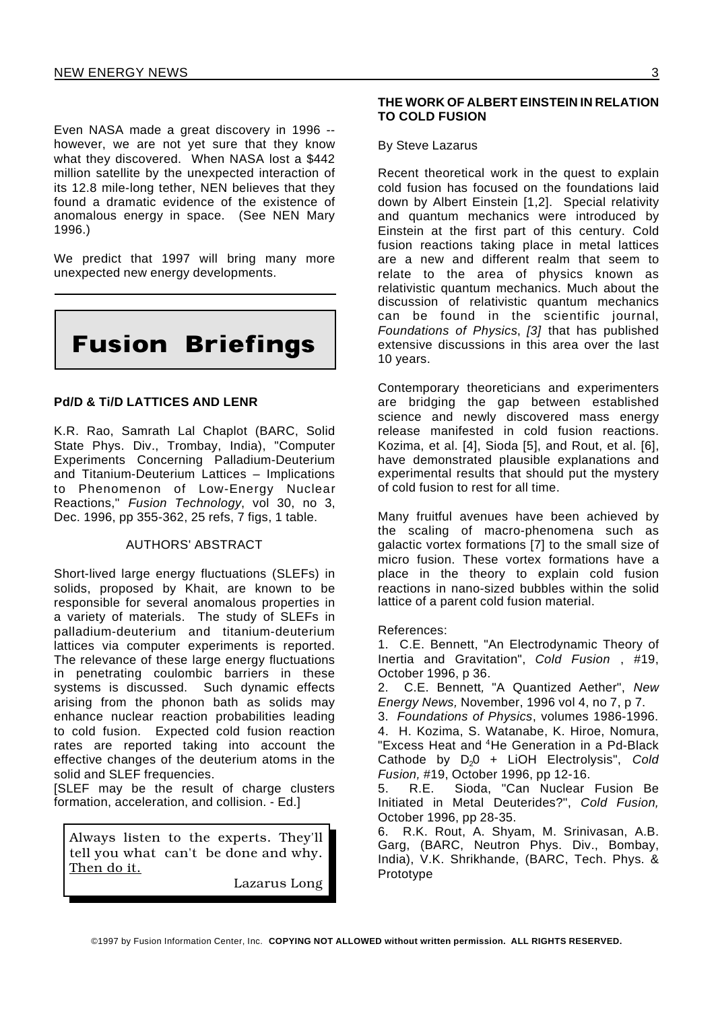Even NASA made a great discovery in 1996 - however, we are not yet sure that they know what they discovered. When NASA lost a \$442 million satellite by the unexpected interaction of its 12.8 mile-long tether, NEN believes that they found a dramatic evidence of the existence of anomalous energy in space. (See NEN Mary 1996.)

We predict that 1997 will bring many more unexpected new energy developments.

# **Fusion Briefings**

#### **Pd/D & Ti/D LATTICES AND LENR**

K.R. Rao, Samrath Lal Chaplot (BARC, Solid State Phys. Div., Trombay, India), "Computer Experiments Concerning Palladium-Deuterium and Titanium-Deuterium Lattices – Implications to Phenomenon of Low-Energy Nuclear Reactions," *Fusion Technology*, vol 30, no 3, Dec. 1996, pp 355-362, 25 refs, 7 figs, 1 table.

#### AUTHORS' ABSTRACT

Short-lived large energy fluctuations (SLEFs) in solids, proposed by Khait, are known to be responsible for several anomalous properties in a variety of materials. The study of SLEFs in palladium-deuterium and titanium-deuterium lattices via computer experiments is reported. The relevance of these large energy fluctuations in penetrating coulombic barriers in these systems is discussed. Such dynamic effects arising from the phonon bath as solids may enhance nuclear reaction probabilities leading to cold fusion. Expected cold fusion reaction rates are reported taking into account the effective changes of the deuterium atoms in the solid and SLEF frequencies.

[SLEF may be the result of charge clusters formation, acceleration, and collision. - Ed.]

Always listen to the experts. They'll tell you what can't be done and why. Then do it.

Lazarus Long

#### **THE WORK OF ALBERT EINSTEIN IN RELATION TO COLD FUSION**

#### By Steve Lazarus

Recent theoretical work in the quest to explain cold fusion has focused on the foundations laid down by Albert Einstein [1,2]. Special relativity and quantum mechanics were introduced by Einstein at the first part of this century. Cold fusion reactions taking place in metal lattices are a new and different realm that seem to relate to the area of physics known as relativistic quantum mechanics. Much about the discussion of relativistic quantum mechanics can be found in the scientific journal, *Foundations of Physics*, *[3]* that has published extensive discussions in this area over the last 10 years.

Contemporary theoreticians and experimenters are bridging the gap between established science and newly discovered mass energy release manifested in cold fusion reactions. Kozima, et al. [4], Sioda [5], and Rout, et al. [6], have demonstrated plausible explanations and experimental results that should put the mystery of cold fusion to rest for all time.

Many fruitful avenues have been achieved by the scaling of macro-phenomena such as galactic vortex formations [7] to the small size of micro fusion. These vortex formations have a place in the theory to explain cold fusion reactions in nano-sized bubbles within the solid lattice of a parent cold fusion material.

References:

1. C.E. Bennett, "An Electrodynamic Theory of Inertia and Gravitation", *Cold Fusion* , #19, October 1996, p 36.

2. C.E. Bennett*,* "A Quantized Aether", *New Energy News,* November, 1996 vol 4, no 7, p 7.

3. *Foundations of Physics*, volumes 1986-1996. 4. H. Kozima, S. Watanabe, K. Hiroe, Nomura, "Excess Heat and <sup>4</sup>He Generation in a Pd-Black Cathode by D<sub>2</sub>0 + LiOH Electrolysis", Cold *Fusion,* #19, October 1996, pp 12-16.

5. R.E. Sioda, "Can Nuclear Fusion Be Initiated in Metal Deuterides?", *Cold Fusion,* October 1996, pp 28-35.

6. R.K. Rout, A. Shyam, M. Srinivasan, A.B. Garg, (BARC, Neutron Phys. Div., Bombay, India), V.K. Shrikhande, (BARC, Tech. Phys. & Prototype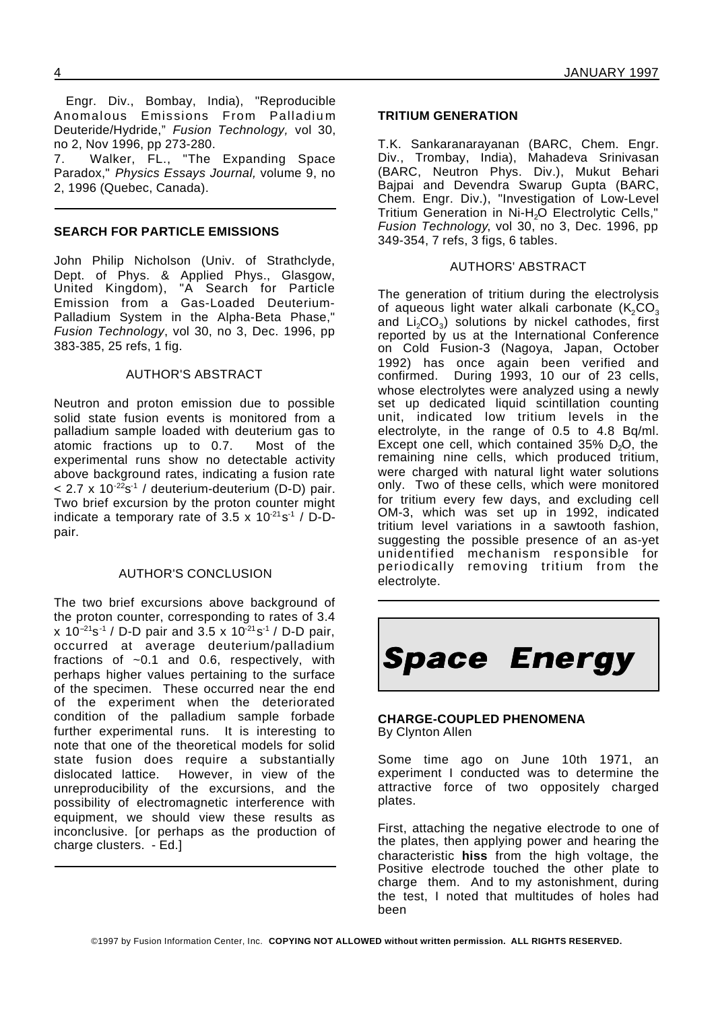Engr. Div., Bombay, India), "Reproducible Anomalous Emissions From Palladium Deuteride/Hydride," *Fusion Technology,* vol 30, no 2, Nov 1996, pp 273-280. 7. Walker, FL., "The Expanding Space Paradox," *Physics Essays Journal,* volume 9, no 2, 1996 (Quebec, Canada).

#### **SEARCH FOR PARTICLE EMISSIONS**

John Philip Nicholson (Univ. of Strathclyde, Dept. of Phys. & Applied Phys., Glasgow, United Kingdom), "A Search for Particle Emission from a Gas-Loaded Deuterium-Palladium System in the Alpha-Beta Phase," *Fusion Technology*, vol 30, no 3, Dec. 1996, pp 383-385, 25 refs, 1 fig.

#### AUTHOR'S ABSTRACT

Neutron and proton emission due to possible solid state fusion events is monitored from a palladium sample loaded with deuterium gas to atomic fractions up to 0.7. Most of the experimental runs show no detectable activity above background rates, indicating a fusion rate < 2.7 x 10<sup>-22</sup>s<sup>-1</sup> / deuterium-deuterium (D-D) pair. Two brief excursion by the proton counter might indicate a temporary rate of 3.5 x  $10^{-21}$ s<sup>-1</sup> / D-Dpair.

#### AUTHOR'S CONCLUSION

The two brief excursions above background of the proton counter, corresponding to rates of 3.4 x 10<sup>-21</sup>s<sup>-1</sup> / D-D pair and 3.5 x 10<sup>-21</sup>s<sup>-1</sup> / D-D pair, occurred at average deuterium/palladium fractions of ~0.1 and 0.6, respectively, with perhaps higher values pertaining to the surface of the specimen. These occurred near the end of the experiment when the deteriorated condition of the palladium sample forbade further experimental runs. It is interesting to note that one of the theoretical models for solid state fusion does require a substantially dislocated lattice. However, in view of the unreproducibility of the excursions, and the possibility of electromagnetic interference with equipment, we should view these results as inconclusive. [or perhaps as the production of charge clusters. - Ed.]

#### **TRITIUM GENERATION**

T.K. Sankaranarayanan (BARC, Chem. Engr. Div., Trombay, India), Mahadeva Srinivasan (BARC, Neutron Phys. Div.), Mukut Behari Bajpai and Devendra Swarup Gupta (BARC, Chem. Engr. Div.), "Investigation of Low-Level Tritium Generation in Ni-H<sub>2</sub>O Electrolytic Cells," *Fusion Technology*, vol 30, no 3, Dec. 1996, pp 349-354, 7 refs, 3 figs, 6 tables.

#### AUTHORS' ABSTRACT

The generation of tritium during the electrolysis of aqueous light water alkali carbonate  $(K_2CO_3)$ and  $\text{Li}_2\text{CO}_3$ ) solutions by nickel cathodes, first reported by us at the International Conference on Cold Fusion-3 (Nagoya, Japan, October 1992) has once again been verified and confirmed. During 1993, 10 our of 23 cells, whose electrolytes were analyzed using a newly set up dedicated liquid scintillation counting unit, indicated low tritium levels in the electrolyte, in the range of 0.5 to 4.8 Bq/ml. Except one cell, which contained  $35\%$  D<sub>2</sub>O, the remaining nine cells, which produced tritium, were charged with natural light water solutions only. Two of these cells, which were monitored for tritium every few days, and excluding cell OM-3, which was set up in 1992, indicated tritium level variations in a sawtooth fashion, suggesting the possible presence of an as-yet unidentified mechanism responsible for periodically removing tritium from the electrolyte.



#### **CHARGE-COUPLED PHENOMENA** By Clynton Allen

Some time ago on June 10th 1971, an experiment I conducted was to determine the attractive force of two oppositely charged plates.

First, attaching the negative electrode to one of the plates, then applying power and hearing the characteristic **hiss** from the high voltage, the Positive electrode touched the other plate to charge them. And to my astonishment, during the test, I noted that multitudes of holes had been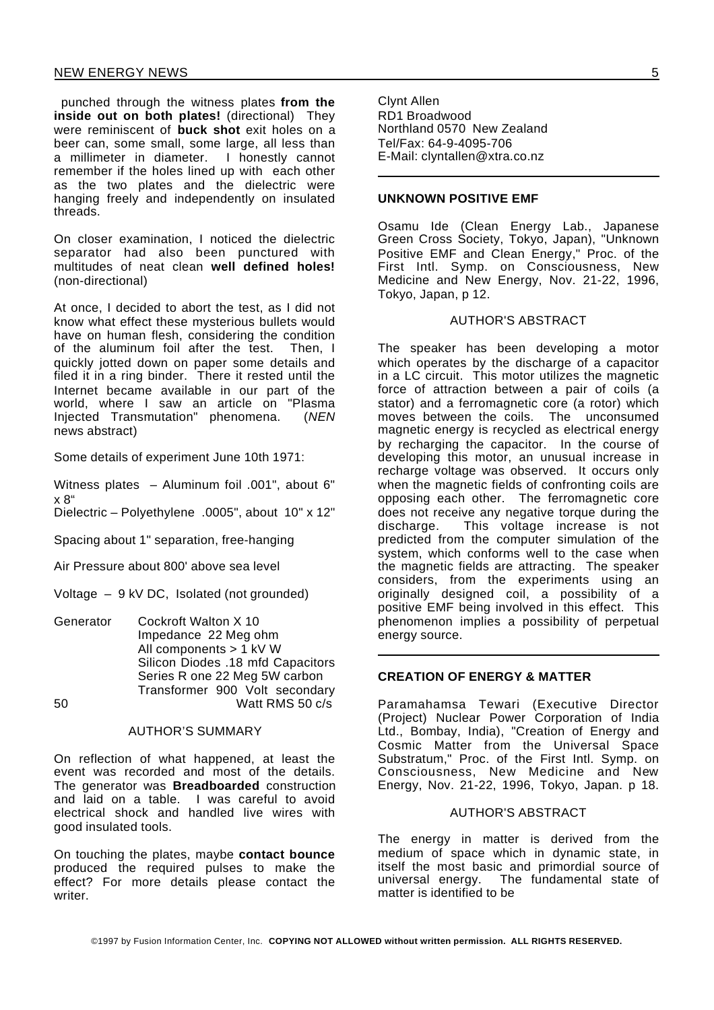punched through the witness plates **from the inside out on both plates!** (directional) They were reminiscent of **buck shot** exit holes on a beer can, some small, some large, all less than a millimeter in diameter. I honestly cannot remember if the holes lined up with each other as the two plates and the dielectric were hanging freely and independently on insulated threads.

On closer examination, I noticed the dielectric separator had also been punctured with multitudes of neat clean **well defined holes!** (non-directional)

At once, I decided to abort the test, as I did not know what effect these mysterious bullets would have on human flesh, considering the condition of the aluminum foil after the test. Then, I quickly jotted down on paper some details and filed it in a ring binder. There it rested until the Internet became available in our part of the world, where I saw an article on "Plasma Injected Transmutation" phenomena. (*NEN* news abstract)

Some details of experiment June 10th 1971:

Witness plates – Aluminum foil .001", about 6" x 8"

Dielectric – Polyethylene .0005", about 10" x 12"

Spacing about 1" separation, free-hanging

Air Pressure about 800' above sea level

Voltage – 9 kV DC, Isolated (not grounded)

Generator Cockroft Walton X 10 Impedance 22 Meg ohm All components > 1 kV W Silicon Diodes .18 mfd Capacitors Series R one 22 Meg 5W carbon Transformer 900 Volt secondary 50 Watt RMS 50 c/s

#### AUTHOR'S SUMMARY

On reflection of what happened, at least the event was recorded and most of the details. The generator was **Breadboarded** construction and laid on a table. I was careful to avoid electrical shock and handled live wires with good insulated tools.

On touching the plates, maybe **contact bounce** produced the required pulses to make the effect? For more details please contact the writer.

Clynt Allen RD1 Broadwood Northland 0570 New Zealand Tel/Fax: 64-9-4095-706 E-Mail: clyntallen@xtra.co.nz

#### **UNKNOWN POSITIVE EMF**

Osamu Ide (Clean Energy Lab., Japanese Green Cross Society, Tokyo, Japan), "Unknown Positive EMF and Clean Energy," Proc. of the First Intl. Symp. on Consciousness, New Medicine and New Energy, Nov. 21-22, 1996, Tokyo, Japan, p 12.

#### AUTHOR'S ABSTRACT

The speaker has been developing a motor which operates by the discharge of a capacitor in a LC circuit. This motor utilizes the magnetic force of attraction between a pair of coils (a stator) and a ferromagnetic core (a rotor) which moves between the coils. The unconsumed magnetic energy is recycled as electrical energy by recharging the capacitor. In the course of developing this motor, an unusual increase in recharge voltage was observed. It occurs only when the magnetic fields of confronting coils are opposing each other. The ferromagnetic core does not receive any negative torque during the discharge. This voltage increase is not predicted from the computer simulation of the system, which conforms well to the case when the magnetic fields are attracting. The speaker considers, from the experiments using an originally designed coil, a possibility of a positive EMF being involved in this effect. This phenomenon implies a possibility of perpetual energy source.

#### **CREATION OF ENERGY & MATTER**

Paramahamsa Tewari (Executive Director (Project) Nuclear Power Corporation of India Ltd., Bombay, India), "Creation of Energy and Cosmic Matter from the Universal Space Substratum," Proc. of the First Intl. Symp. on Consciousness, New Medicine and New Energy, Nov. 21-22, 1996, Tokyo, Japan. p 18.

#### AUTHOR'S ABSTRACT

The energy in matter is derived from the medium of space which in dynamic state, in itself the most basic and primordial source of universal energy. The fundamental state of matter is identified to be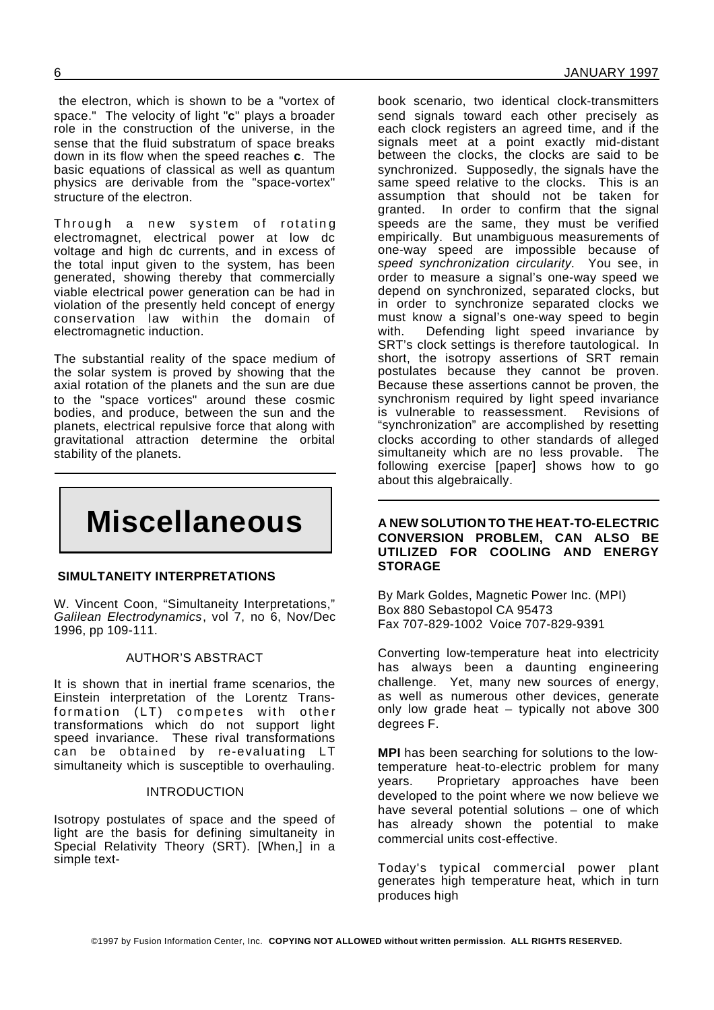the electron, which is shown to be a "vortex of space." The velocity of light "**c**" plays a broader role in the construction of the universe, in the sense that the fluid substratum of space breaks down in its flow when the speed reaches **c**. The basic equations of classical as well as quantum physics are derivable from the "space-vortex" structure of the electron.

Through a new system of rotating electromagnet, electrical power at low dc voltage and high dc currents, and in excess of the total input given to the system, has been generated, showing thereby that commercially viable electrical power generation can be had in violation of the presently held concept of energy conservation law within the domain of electromagnetic induction.

The substantial reality of the space medium of the solar system is proved by showing that the axial rotation of the planets and the sun are due to the "space vortices" around these cosmic bodies, and produce, between the sun and the planets, electrical repulsive force that along with gravitational attraction determine the orbital stability of the planets.

# **Miscellaneous**

#### **SIMULTANEITY INTERPRETATIONS**

W. Vincent Coon, "Simultaneity Interpretations," *Galilean Electrodynamics*, vol 7, no 6, Nov/Dec 1996, pp 109-111.

#### AUTHOR'S ABSTRACT

It is shown that in inertial frame scenarios, the Einstein interpretation of the Lorentz Transformation (LT) competes with other transformations which do not support light speed invariance. These rival transformations can be obtained by re-evaluating LT simultaneity which is susceptible to overhauling.

#### INTRODUCTION

Isotropy postulates of space and the speed of light are the basis for defining simultaneity in Special Relativity Theory (SRT). [When,] in a simple text-

book scenario, two identical clock-transmitters send signals toward each other precisely as each clock registers an agreed time, and if the signals meet at a point exactly mid-distant between the clocks, the clocks are said to be synchronized. Supposedly, the signals have the same speed relative to the clocks. This is an assumption that should not be taken for granted. In order to confirm that the signal speeds are the same, they must be verified empirically. But unambiguous measurements of one-way speed are impossible because of *speed synchronization circularity*. You see, in order to measure a signal's one-way speed we depend on synchronized, separated clocks, but in order to synchronize separated clocks we must know a signal's one-way speed to begin with. Defending light speed invariance by SRT's clock settings is therefore tautological. In short, the isotropy assertions of SRT remain postulates because they cannot be proven. Because these assertions cannot be proven, the synchronism required by light speed invariance is vulnerable to reassessment. Revisions of "synchronization" are accomplished by resetting clocks according to other standards of alleged simultaneity which are no less provable. The following exercise [paper] shows how to go about this algebraically.

#### **A NEW SOLUTION TO THE HEAT-TO-ELECTRIC CONVERSION PROBLEM, CAN ALSO BE UTILIZED FOR COOLING AND ENERGY STORAGE**

By Mark Goldes, Magnetic Power Inc. (MPI) Box 880 Sebastopol CA 95473 Fax 707-829-1002 Voice 707-829-9391

Converting low-temperature heat into electricity has always been a daunting engineering challenge. Yet, many new sources of energy, as well as numerous other devices, generate only low grade heat – typically not above 300 degrees F.

**MPI** has been searching for solutions to the lowtemperature heat-to-electric problem for many years. Proprietary approaches have been developed to the point where we now believe we have several potential solutions – one of which has already shown the potential to make commercial units cost-effective.

Today's typical commercial power plant generates high temperature heat, which in turn produces high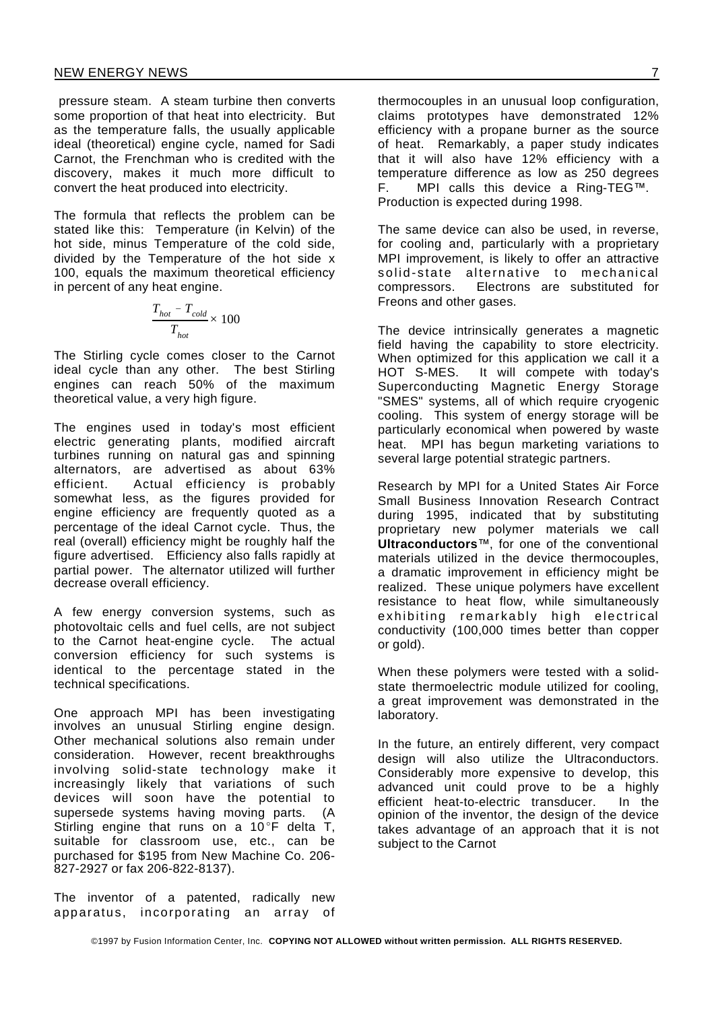pressure steam. A steam turbine then converts some proportion of that heat into electricity. But as the temperature falls, the usually applicable ideal (theoretical) engine cycle, named for Sadi Carnot, the Frenchman who is credited with the discovery, makes it much more difficult to convert the heat produced into electricity.

The formula that reflects the problem can be stated like this: Temperature (in Kelvin) of the hot side, minus Temperature of the cold side, divided by the Temperature of the hot side x 100, equals the maximum theoretical efficiency in percent of any heat engine.

$$
\frac{T_{hot} - T_{cold}}{T_{hot}} \times 100
$$

The Stirling cycle comes closer to the Carnot ideal cycle than any other. The best Stirling engines can reach 50% of the maximum theoretical value, a very high figure.

The engines used in today's most efficient electric generating plants, modified aircraft turbines running on natural gas and spinning alternators, are advertised as about 63% efficient. Actual efficiency is probably somewhat less, as the figures provided for engine efficiency are frequently quoted as a percentage of the ideal Carnot cycle. Thus, the real (overall) efficiency might be roughly half the figure advertised. Efficiency also falls rapidly at partial power. The alternator utilized will further decrease overall efficiency.

A few energy conversion systems, such as photovoltaic cells and fuel cells, are not subject to the Carnot heat-engine cycle. The actual conversion efficiency for such systems is identical to the percentage stated in the technical specifications.

One approach MPI has been investigating involves an unusual Stirling engine design. Other mechanical solutions also remain under consideration. However, recent breakthroughs involving solid-state technology make it increasingly likely that variations of such devices will soon have the potential to supersede systems having moving parts. (A Stirling engine that runs on a  $10^{\circ}$ F delta T, suitable for classroom use, etc., can be purchased for \$195 from New Machine Co. 206- 827-2927 or fax 206-822-8137).

The inventor of a patented, radically new apparatus, incorporating an array of thermocouples in an unusual loop configuration, claims prototypes have demonstrated 12% efficiency with a propane burner as the source of heat. Remarkably, a paper study indicates that it will also have 12% efficiency with a temperature difference as low as 250 degrees F. MPI calls this device a Ring-TEG™. Production is expected during 1998.

The same device can also be used, in reverse, for cooling and, particularly with a proprietary MPI improvement, is likely to offer an attractive solid-state alternative to mechanical compressors. Electrons are substituted for Freons and other gases.

The device intrinsically generates a magnetic field having the capability to store electricity. When optimized for this application we call it a HOT S-MES. It will compete with today's Superconducting Magnetic Energy Storage "SMES" systems, all of which require cryogenic cooling. This system of energy storage will be particularly economical when powered by waste heat. MPI has begun marketing variations to several large potential strategic partners.

Research by MPI for a United States Air Force Small Business Innovation Research Contract during 1995, indicated that by substituting proprietary new polymer materials we call **Ultraconductors**™, for one of the conventional materials utilized in the device thermocouples, a dramatic improvement in efficiency might be realized. These unique polymers have excellent resistance to heat flow, while simultaneously exhibiting remarkably high electrical conductivity (100,000 times better than copper or gold).

When these polymers were tested with a solidstate thermoelectric module utilized for cooling, a great improvement was demonstrated in the laboratory.

In the future, an entirely different, very compact design will also utilize the Ultraconductors. Considerably more expensive to develop, this advanced unit could prove to be a highly efficient heat-to-electric transducer. In the opinion of the inventor, the design of the device takes advantage of an approach that it is not subject to the Carnot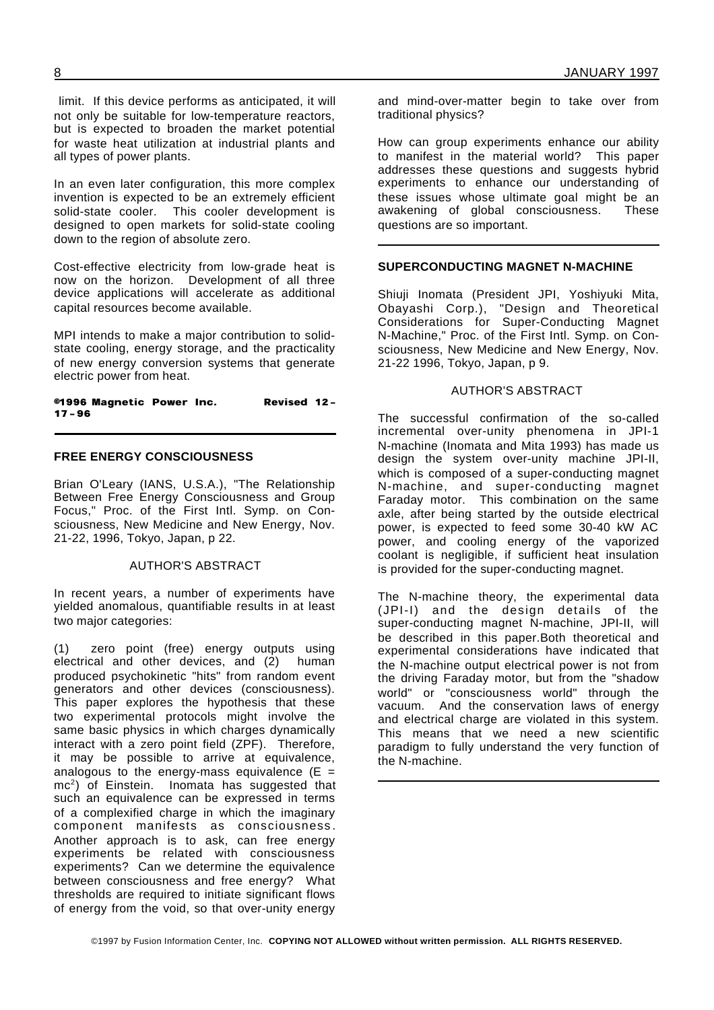limit. If this device performs as anticipated, it will not only be suitable for low-temperature reactors, but is expected to broaden the market potential for waste heat utilization at industrial plants and all types of power plants.

In an even later configuration, this more complex invention is expected to be an extremely efficient solid-state cooler. This cooler development is designed to open markets for solid-state cooling down to the region of absolute zero.

Cost-effective electricity from low-grade heat is now on the horizon. Development of all three device applications will accelerate as additional capital resources become available.

MPI intends to make a major contribution to solidstate cooling, energy storage, and the practicality of new energy conversion systems that generate electric power from heat.

@1996 Magnetic Power Inc. Revised 12- $17 - 96$ 

#### **FREE ENERGY CONSCIOUSNESS**

Brian O'Leary (IANS, U.S.A.), "The Relationship Britton Chronic Chergy Consciousness and Group Focus," Proc. of the First Intl. Symp. on Consciousness, New Medicine and New Energy, Nov. 21-22, 1996, Tokyo, Japan, p 22.

#### AUTHOR'S ABSTRACT

In recent years, a number of experiments have yielded anomalous, quantifiable results in at least two major categories:

(1) zero point (free) energy outputs using electrical and other devices, and (2) human produced psychokinetic "hits" from random event generators and other devices (consciousness). This paper explores the hypothesis that these two experimental protocols might involve the same basic physics in which charges dynamically interact with a zero point field (ZPF). Therefore, it may be possible to arrive at equivalence, analogous to the energy-mass equivalence  $(E =$ mc<sup>2</sup> ) of Einstein. Inomata has suggested that such an equivalence can be expressed in terms of a complexified charge in which the imaginary component manifests as consciousness . Another approach is to ask, can free energy experiments be related with consciousness experiments? Can we determine the equivalence between consciousness and free energy? What thresholds are required to initiate significant flows of energy from the void, so that over-unity energy

and mind-over-matter begin to take over from traditional physics?

How can group experiments enhance our ability to manifest in the material world? This paper addresses these questions and suggests hybrid experiments to enhance our understanding of these issues whose ultimate goal might be an awakening of global consciousness. These questions are so important.

#### **SUPERCONDUCTING MAGNET N-MACHINE**

Shiuji Inomata (President JPI, Yoshiyuki Mita, Obayashi Corp.), "Design and Theoretical Considerations for Super-Conducting Magnet N-Machine," Proc. of the First Intl. Symp. on Consciousness, New Medicine and New Energy, Nov. 21-22 1996, Tokyo, Japan, p 9.

#### AUTHOR'S ABSTRACT

The successful confirmation of the so-called incremental over-unity phenomena in JPI-1 N-machine (Inomata and Mita 1993) has made us design the system over-unity machine JPI-II, which is composed of a super-conducting magnet N-machine, and super-conducting magnet Faraday motor. This combination on the same axle, after being started by the outside electrical power, is expected to feed some 30-40 kW AC power, and cooling energy of the vaporized coolant is negligible, if sufficient heat insulation is provided for the super-conducting magnet.

The N-machine theory, the experimental data (JPI-I) and the design details of the super-conducting magnet N-machine, JPI-II, will be described in this paper.Both theoretical and experimental considerations have indicated that the N-machine output electrical power is not from the driving Faraday motor, but from the "shadow world" or "consciousness world" through the vacuum. And the conservation laws of energy and electrical charge are violated in this system. This means that we need a new scientific paradigm to fully understand the very function of the N-machine.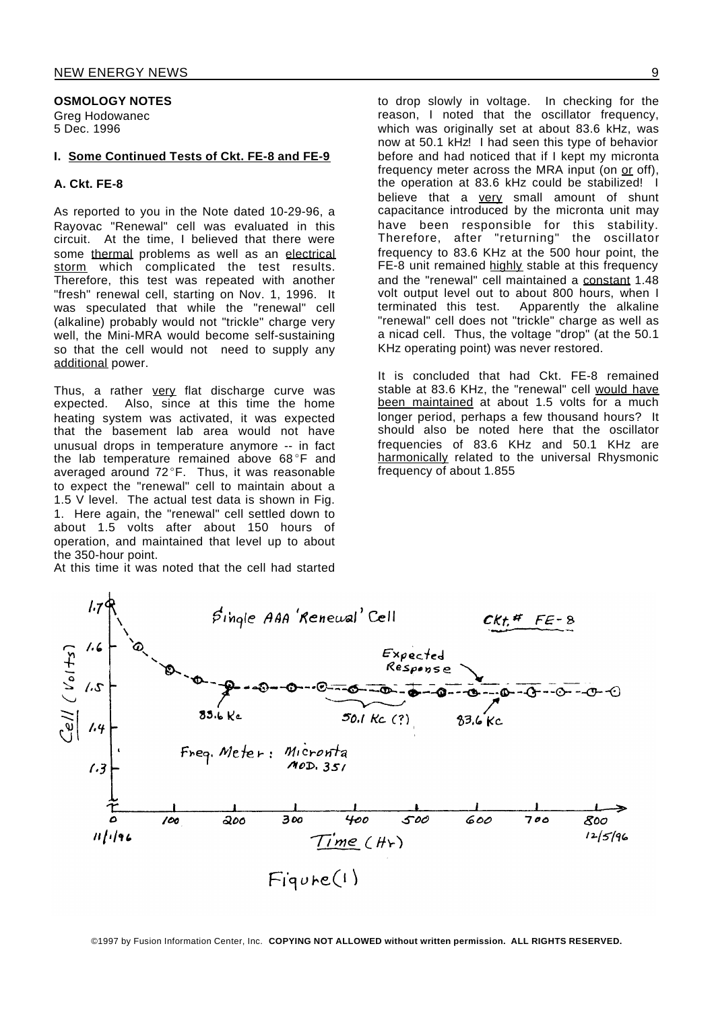#### **OSMOLOGY NOTES**

Greg Hodowanec 5 Dec. 1996

#### **I. Some Continued Tests of Ckt. FE-8 and FE-9**

#### **A. Ckt. FE-8**

As reported to you in the Note dated 10-29-96, a Rayovac "Renewal" cell was evaluated in this circuit. At the time, I believed that there were some thermal problems as well as an electrical storm which complicated the test results. Therefore, this test was repeated with another "fresh" renewal cell, starting on Nov. 1, 1996. It was speculated that while the "renewal" cell (alkaline) probably would not "trickle" charge very well, the Mini-MRA would become self-sustaining so that the cell would not need to supply any additional power.

Thus, a rather very flat discharge curve was expected. Also, since at this time the home heating system was activated, it was expected that the basement lab area would not have unusual drops in temperature anymore -- in fact the lab temperature remained above 68°F and averaged around 72°F. Thus, it was reasonable to expect the "renewal" cell to maintain about a 1.5 V level. The actual test data is shown in Fig. 1. Here again, the "renewal" cell settled down to about 1.5 volts after about 150 hours of operation, and maintained that level up to about the 350-hour point.

At this time it was noted that the cell had started

to drop slowly in voltage. In checking for the reason, I noted that the oscillator frequency, which was originally set at about 83.6 kHz, was now at 50.1 kHz! I had seen this type of behavior before and had noticed that if I kept my micronta frequency meter across the MRA input (on or off), the operation at 83.6 kHz could be stabilized! I believe that a very small amount of shunt capacitance introduced by the micronta unit may have been responsible for this stability. Therefore, after "returning" the oscillator frequency to 83.6 KHz at the 500 hour point, the FE-8 unit remained highly stable at this frequency and the "renewal" cell maintained a constant 1.48 volt output level out to about 800 hours, when I terminated this test. Apparently the alkaline "renewal" cell does not "trickle" charge as well as a nicad cell. Thus, the voltage "drop" (at the 50.1 KHz operating point) was never restored.

It is concluded that had Ckt. FE-8 remained stable at 83.6 KHz, the "renewal" cell would have been maintained at about 1.5 volts for a much longer period, perhaps a few thousand hours? It should also be noted here that the oscillator frequencies of 83.6 KHz and 50.1 KHz are harmonically related to the universal Rhysmonic frequency of about 1.855



©1997 by Fusion Information Center, Inc. **COPYING NOT ALLOWED without written permission. ALL RIGHTS RESERVED.**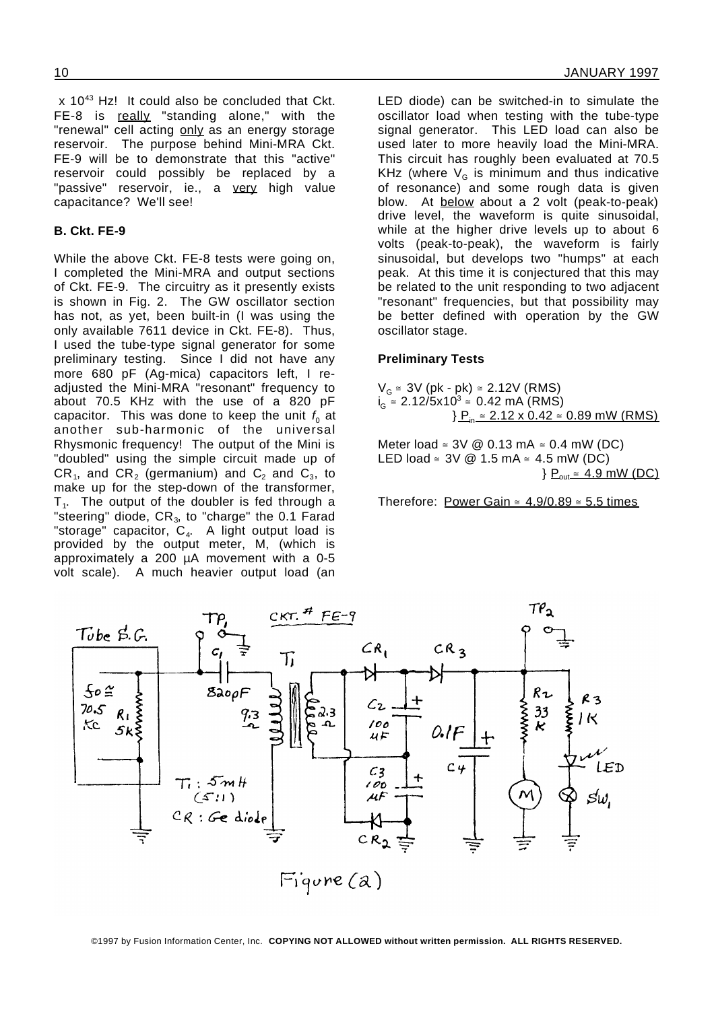x 10<sup>43</sup> Hz! It could also be concluded that Ckt. FE-8 is really "standing alone," with the "renewal" cell acting only as an energy storage reservoir. The purpose behind Mini-MRA Ckt. FE-9 will be to demonstrate that this "active" reservoir could possibly be replaced by a "passive" reservoir, ie., a very high value capacitance? We'll see!

#### **B. Ckt. FE-9**

While the above Ckt. FE-8 tests were going on, I completed the Mini-MRA and output sections of Ckt. FE-9. The circuitry as it presently exists is shown in Fig. 2. The GW oscillator section has not, as yet, been built-in (I was using the only available 7611 device in Ckt. FE-8). Thus, I used the tube-type signal generator for some preliminary testing. Since I did not have any more 680 pF (Ag-mica) capacitors left, I readjusted the Mini-MRA "resonant" frequency to about 70.5 KHz with the use of a 820 pF capacitor. This was done to keep the unit  $f_{\rm o}$  at another sub-harmonic of the universal Rhysmonic frequency! The output of the Mini is "doubled" using the simple circuit made up of CR<sub>1</sub>, and CR<sub>2</sub> (germanium) and C<sub>2</sub> and C<sub>3</sub>, to make up for the step-down of the transformer,  $T_1$ . The output of the doubler is fed through a "steering" diode,  $CR<sub>3</sub>$ , to "charge" the 0.1 Farad "storage" capacitor, C<sub>4</sub>. A light output load is provided by the output meter, M, (which is approximately a 200 µA movement with a 0-5 volt scale). A much heavier output load (an

LED diode) can be switched-in to simulate the oscillator load when testing with the tube-type signal generator. This LED load can also be used later to more heavily load the Mini-MRA. This circuit has roughly been evaluated at 70.5 KHz (where  $V_G$  is minimum and thus indicative of resonance) and some rough data is given blow. At below about a 2 volt (peak-to-peak) drive level, the waveform is quite sinusoidal, while at the higher drive levels up to about 6 volts (peak-to-peak), the waveform is fairly sinusoidal, but develops two "humps" at each peak. At this time it is conjectured that this may be related to the unit responding to two adjacent "resonant" frequencies, but that possibility may be better defined with operation by the GW oscillator stage.

#### **Preliminary Tests**

 $V_G \cong 3V$  (pk - pk)  $\cong$  2.12V (RMS)  $i_G$  ≅ 2.12/5x10<sup>3</sup> ≅ 0.42 mA (RMS)  ${}^{\circ}$  P<sub>in</sub>  $\cong$  2.12 x 0.42  $\cong$  0.89 mW (RMS)

Meter load  $\approx 3V$  @ 0.13 mA  $\approx$  0.4 mW (DC) LED load  $\approx 3V$  @ 1.5 mA  $\approx 4.5$  mW (DC)  $\}$  P<sub>out</sub>  $\leq$  4.9 mW (DC)

Therefore: Power Gain  $\approx$  4.9/0.89  $\approx$  5.5 times

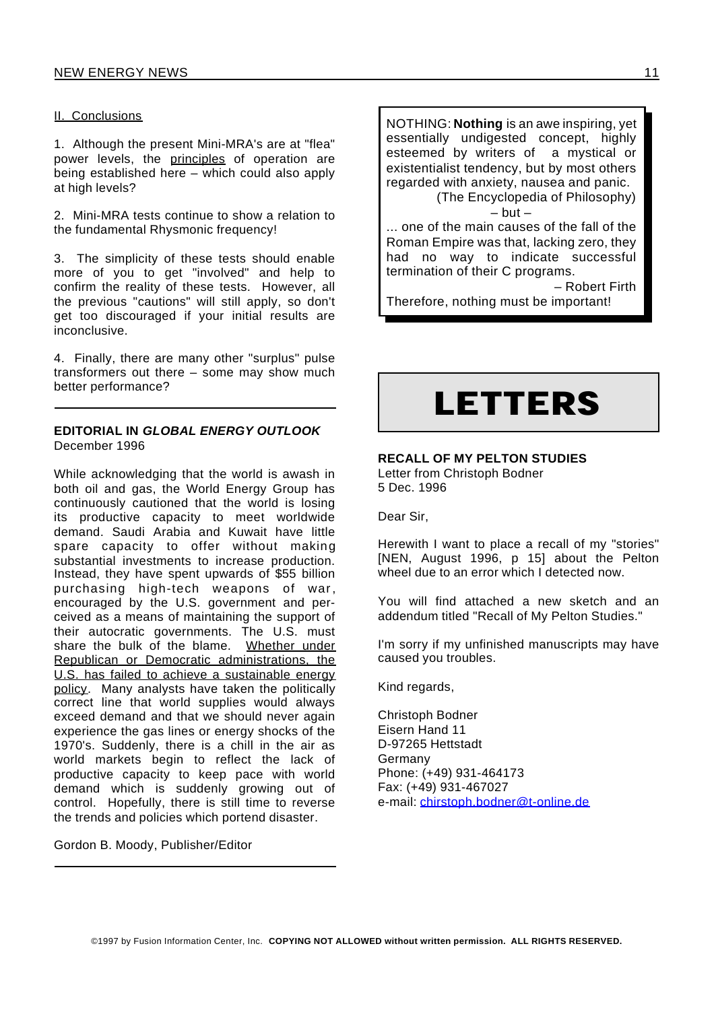#### II. Conclusions

1. Although the present Mini-MRA's are at "flea" power levels, the principles of operation are being established here – which could also apply at high levels?

2. Mini-MRA tests continue to show a relation to the fundamental Rhysmonic frequency!

3. The simplicity of these tests should enable more of you to get "involved" and help to confirm the reality of these tests. However, all the previous "cautions" will still apply, so don't get too discouraged if your initial results are inconclusive.

4. Finally, there are many other "surplus" pulse transformers out there – some may show much better performance?

#### **EDITORIAL IN** *GLOBAL ENERGY OUTLOOK* December 1996

While acknowledging that the world is awash in both oil and gas, the World Energy Group has continuously cautioned that the world is losing its productive capacity to meet worldwide demand. Saudi Arabia and Kuwait have little spare capacity to offer without making substantial investments to increase production. Instead, they have spent upwards of \$55 billion purchasing high-tech weapons of war, encouraged by the U.S. government and perceived as a means of maintaining the support of their autocratic governments. The U.S. must share the bulk of the blame. Whether under Republican or Democratic administrations, the U.S. has failed to achieve a sustainable energy policy. Many analysts have taken the politically correct line that world supplies would always exceed demand and that we should never again experience the gas lines or energy shocks of the 1970's. Suddenly, there is a chill in the air as world markets begin to reflect the lack of productive capacity to keep pace with world demand which is suddenly growing out of control. Hopefully, there is still time to reverse the trends and policies which portend disaster.

Gordon B. Moody, Publisher/Editor

NOTHING: **Nothing** is an awe inspiring, yet essentially undigested concept, highly esteemed by writers of a mystical or existentialist tendency, but by most others regarded with anxiety, nausea and panic. (The Encyclopedia of Philosophy)

 $-$  but  $-$ 

... one of the main causes of the fall of the Roman Empire was that, lacking zero, they had no way to indicate successful termination of their C programs.

– Robert Firth Therefore, nothing must be important!

# **LETTERS**

#### **RECALL OF MY PELTON STUDIES**

Letter from Christoph Bodner 5 Dec. 1996

Dear Sir,

Herewith I want to place a recall of my "stories" [NEN, August 1996, p 15] about the Pelton wheel due to an error which I detected now.

You will find attached a new sketch and an addendum titled "Recall of My Pelton Studies."

I'm sorry if my unfinished manuscripts may have caused you troubles.

Kind regards,

Christoph Bodner Eisern Hand 11 D-97265 Hettstadt Germany Phone: (+49) 931-464173 Fax: (+49) 931-467027 e-mail: chirstoph.bodner@t-online.de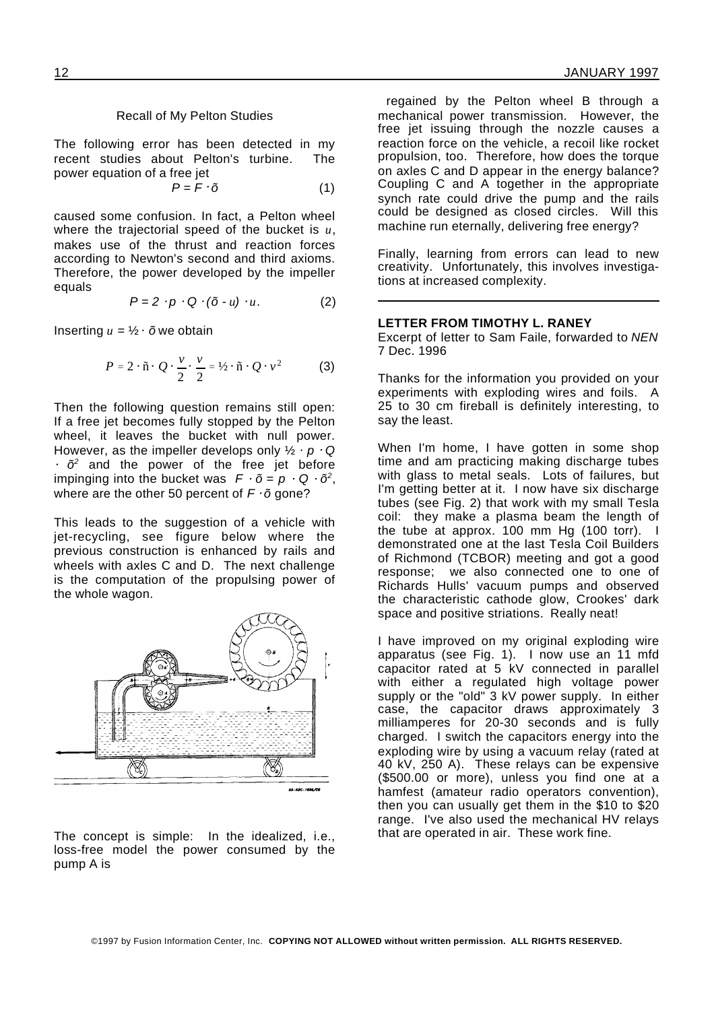#### Recall of My Pelton Studies

The following error has been detected in my recent studies about Pelton's turbine. The power equation of a free jet

$$
P = F \cdot \tilde{o} \tag{1}
$$

caused some confusion. In fact, a Pelton wheel where the trajectorial speed of the bucket is *u*, makes use of the thrust and reaction forces according to Newton's second and third axioms. Therefore, the power developed by the impeller equals

$$
P = 2 \cdot p \cdot Q \cdot (\tilde{o} - u) \cdot u. \tag{2}
$$

Inserting  $u = \frac{1}{2} \cdot \tilde{\sigma}$  we obtain

$$
P = 2 \cdot \tilde{\mathbf{n}} \cdot Q \cdot \frac{v}{2} \cdot \frac{v}{2} = \frac{1}{2} \cdot \tilde{\mathbf{n}} \cdot Q \cdot v^2 \tag{3}
$$

Then the following question remains still open: If a free jet becomes fully stopped by the Pelton wheel, it leaves the bucket with null power. However, as the impeller develops only  $\frac{1}{2} \cdot p \cdot Q$  $\tilde{\sigma}^2$  and the power of the free jet before impinging into the bucket was  $F \cdot \tilde{o} = p \cdot Q \cdot \tilde{o}^2$ , where are the other 50 percent of  $F \cdot \tilde{\sigma}$  gone?

This leads to the suggestion of a vehicle with jet-recycling, see figure below where the previous construction is enhanced by rails and wheels with axles C and D. The next challenge is the computation of the propulsing power of the whole wagon.



The concept is simple: In the idealized, i.e., loss-free model the power consumed by the pump A is

regained by the Pelton wheel B through a mechanical power transmission. However, the free jet issuing through the nozzle causes a reaction force on the vehicle, a recoil like rocket propulsion, too. Therefore, how does the torque on axles C and D appear in the energy balance? Coupling C and A together in the appropriate synch rate could drive the pump and the rails could be designed as closed circles. Will this machine run eternally, delivering free energy?

Finally, learning from errors can lead to new creativity. Unfortunately, this involves investigations at increased complexity.

#### **LETTER FROM TIMOTHY L. RANEY**

Excerpt of letter to Sam Faile, forwarded to *NEN* 7 Dec. 1996

Thanks for the information you provided on your experiments with exploding wires and foils. A 25 to 30 cm fireball is definitely interesting, to say the least.

When I'm home, I have gotten in some shop time and am practicing making discharge tubes with glass to metal seals. Lots of failures, but I'm getting better at it. I now have six discharge tubes (see Fig. 2) that work with my small Tesla coil: they make a plasma beam the length of the tube at approx. 100 mm Hg (100 torr). I demonstrated one at the last Tesla Coil Builders of Richmond (TCBOR) meeting and got a good response; we also connected one to one of Richards Hulls' vacuum pumps and observed the characteristic cathode glow, Crookes' dark space and positive striations. Really neat!

I have improved on my original exploding wire apparatus (see Fig. 1). I now use an 11 mfd capacitor rated at 5 kV connected in parallel with either a regulated high voltage power supply or the "old" 3 kV power supply. In either case, the capacitor draws approximately 3 milliamperes for 20-30 seconds and is fully charged. I switch the capacitors energy into the exploding wire by using a vacuum relay (rated at 40 kV, 250 A). These relays can be expensive (\$500.00 or more), unless you find one at a hamfest (amateur radio operators convention), then you can usually get them in the \$10 to \$20 range. I've also used the mechanical HV relays that are operated in air. These work fine.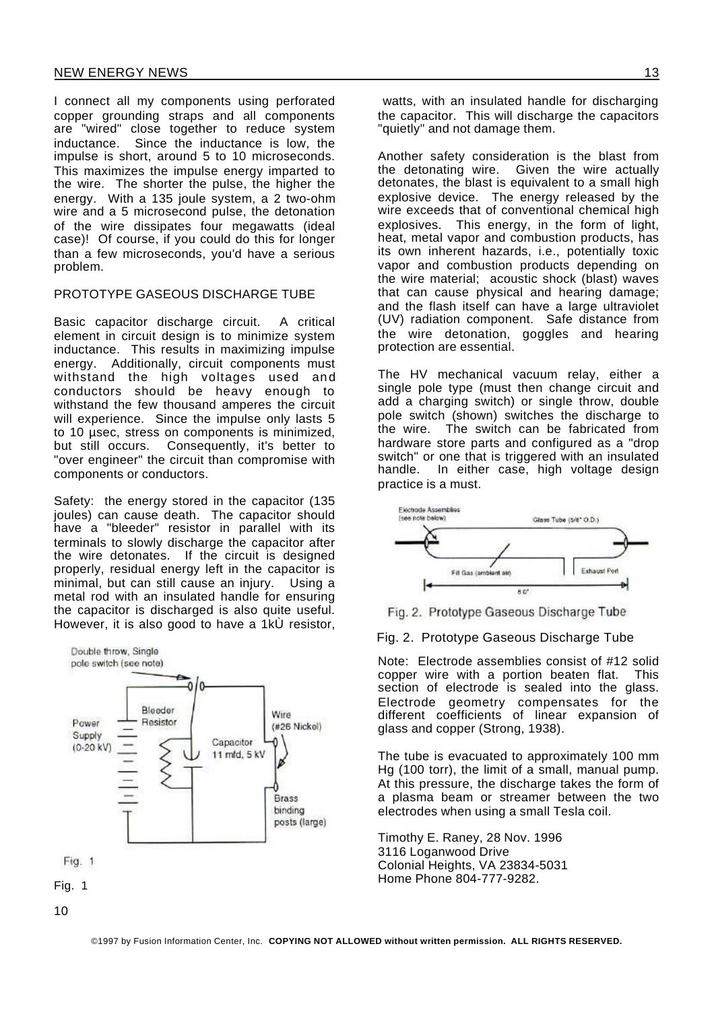I connect all my components using perforated copper grounding straps and all components are "wired" close together to reduce system inductance. Since the inductance is low, the impulse is short, around 5 to 10 microseconds. This maximizes the impulse energy imparted to the wire. The shorter the pulse, the higher the energy. With a 135 joule system, a 2 two-ohm wire and a 5 microsecond pulse, the detonation of the wire dissipates four megawatts (ideal case)! Of course, if you could do this for longer than a few microseconds, you'd have a serious problem.

#### PROTOTYPE GASEOUS DISCHARGE TUBE

Basic capacitor discharge circuit. A critical element in circuit design is to minimize system inductance. This results in maximizing impulse energy. Additionally, circuit components must withstand the high voltages used and conductors should be heavy enough to withstand the few thousand amperes the circuit will experience. Since the impulse only lasts 5 to 10 µsec, stress on components is minimized, but still occurs. Consequently, it's better to "over engineer" the circuit than compromise with components or conductors.

Safety: the energy stored in the capacitor (135 joules) can cause death. The capacitor should have a "bleeder" resistor in parallel with its terminals to slowly discharge the capacitor after the wire detonates. If the circuit is designed properly, residual energy left in the capacitor is minimal, but can still cause an injury. Using a metal rod with an insulated handle for ensuring the capacitor is discharged is also quite useful. However, it is also good to have a 1kÙ resistor,



watts, with an insulated handle for discharging the capacitor. This will discharge the capacitors "quietly" and not damage them.

Another safety consideration is the blast from the detonating wire. Given the wire actually detonates, the blast is equivalent to a small high explosive device. The energy released by the wire exceeds that of conventional chemical high explosives. This energy, in the form of light, heat, metal vapor and combustion products, has its own inherent hazards, i.e., potentially toxic vapor and combustion products depending on the wire material; acoustic shock (blast) waves that can cause physical and hearing damage; and the flash itself can have a large ultraviolet (UV) radiation component. Safe distance from the wire detonation, goggles and hearing protection are essential.

The HV mechanical vacuum relay, either a single pole type (must then change circuit and add a charging switch) or single throw, double pole switch (shown) switches the discharge to the wire. The switch can be fabricated from hardware store parts and configured as a "drop switch" or one that is triggered with an insulated handle. In either case, high voltage design practice is a must.





#### Fig. 2. Prototype Gaseous Discharge Tube

Note: Electrode assemblies consist of #12 solid copper wire with a portion beaten flat. This section of electrode is sealed into the glass. Electrode geometry compensates for the different coefficients of linear expansion of glass and copper (Strong, 1938).

The tube is evacuated to approximately 100 mm Hg (100 torr), the limit of a small, manual pump. At this pressure, the discharge takes the form of a plasma beam or streamer between the two electrodes when using a small Tesla coil.

Timothy E. Raney, 28 Nov. 1996 3116 Loganwood Drive Colonial Heights, VA 23834-5031 Home Phone 804-777-9282.

©1997 by Fusion Information Center, Inc. **COPYING NOT ALLOWED without written permission. ALL RIGHTS RESERVED.**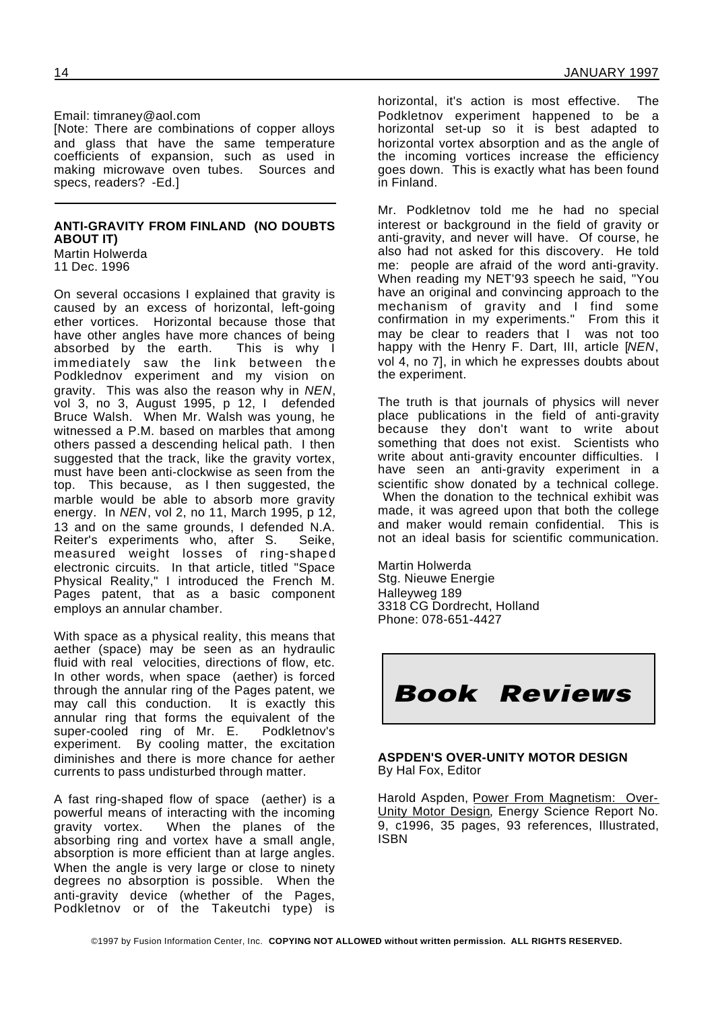Email: timraney@aol.com

[Note: There are combinations of copper alloys and glass that have the same temperature coefficients of expansion, such as used in making microwave oven tubes. Sources and specs, readers? -Ed.]

#### **ANTI-GRAVITY FROM FINLAND (NO DOUBTS ABOUT IT)**

Martin Holwerda 11 Dec. 1996

On several occasions I explained that gravity is caused by an excess of horizontal, left-going ether vortices. Horizontal because those that have other angles have more chances of being absorbed by the earth. This is why I immediately saw the link between the Podklednov experiment and my vision on gravity. This was also the reason why in *NEN*, vol 3, no 3, August 1995, p 12, I defended Bruce Walsh. When Mr. Walsh was young, he witnessed a P.M. based on marbles that among others passed a descending helical path. I then suggested that the track, like the gravity vortex, must have been anti-clockwise as seen from the top. This because, as I then suggested, the marble would be able to absorb more gravity energy. In *NEN*, vol 2, no 11, March 1995, p 12, 13 and on the same grounds, I defended N.A. Reiter's experiments who, after S. Seike, measured weight losses of ring-shaped electronic circuits. In that article, titled "Space Physical Reality," I introduced the French M. Pages patent, that as a basic component employs an annular chamber.

With space as a physical reality, this means that aether (space) may be seen as an hydraulic fluid with real velocities, directions of flow, etc. In other words, when space (aether) is forced through the annular ring of the Pages patent, we may call this conduction. It is exactly this annular ring that forms the equivalent of the super-cooled ring of Mr. E. Podkletnov's experiment. By cooling matter, the excitation diminishes and there is more chance for aether currents to pass undisturbed through matter.

A fast ring-shaped flow of space (aether) is a powerful means of interacting with the incoming gravity vortex. When the planes of the absorbing ring and vortex have a small angle, absorption is more efficient than at large angles. When the angle is very large or close to ninety degrees no absorption is possible. When the anti-gravity device (whether of the Pages, Podkletnov or of the Takeutchi type) is horizontal, it's action is most effective. The Podkletnov experiment happened to be a horizontal set-up so it is best adapted to horizontal vortex absorption and as the angle of the incoming vortices increase the efficiency goes down. This is exactly what has been found in Finland.

Mr. Podkletnov told me he had no special interest or background in the field of gravity or anti-gravity, and never will have. Of course, he also had not asked for this discovery. He told me: people are afraid of the word anti-gravity. When reading my NET'93 speech he said, "You have an original and convincing approach to the mechanism of gravity and I find some confirmation in my experiments." From this it may be clear to readers that I was not too happy with the Henry F. Dart, III, article [*NEN*, vol 4, no 7], in which he expresses doubts about the experiment.

The truth is that journals of physics will never place publications in the field of anti-gravity because they don't want to write about something that does not exist. Scientists who write about anti-gravity encounter difficulties. I have seen an anti-gravity experiment in a scientific show donated by a technical college. When the donation to the technical exhibit was made, it was agreed upon that both the college and maker would remain confidential. This is not an ideal basis for scientific communication.

Martin Holwerda Stg. Nieuwe Energie Halleyweg 189 3318 CG Dordrecht, Holland Phone: 078-651-4427



**ASPDEN'S OVER-UNITY MOTOR DESIGN** By Hal Fox, Editor

Harold Aspden, Power From Magnetism: Over-Unity Motor Design, Energy Science Report No. 9, c1996, 35 pages, 93 references, Illustrated, ISBN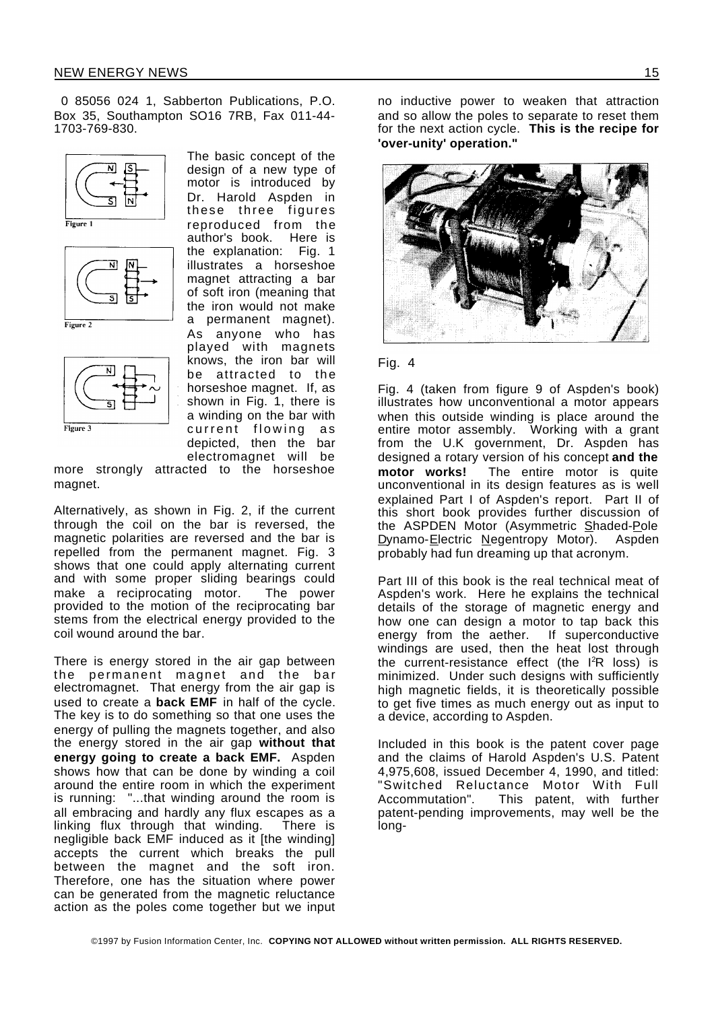0 85056 024 1, Sabberton Publications, P.O. Box 35, Southampton SO16 7RB, Fax 011-44- 1703-769-830.











The basic concept of the design of a new type of motor is introduced by Dr. Harold Aspden in these three figures reproduced from the author's book. Here is the explanation: Fig. 1 illustrates a horseshoe magnet attracting a bar of soft iron (meaning that the iron would not make a permanent magnet). As anyone who has played with magnets knows, the iron bar will be attracted to the horseshoe magnet. If, as shown in Fig. 1, there is a winding on the bar with current flowing as depicted, then the bar electromagnet will be

more strongly attracted to the horseshoe magnet.

Alternatively, as shown in Fig. 2, if the current through the coil on the bar is reversed, the magnetic polarities are reversed and the bar is repelled from the permanent magnet. Fig. 3 shows that one could apply alternating current and with some proper sliding bearings could make a reciprocating motor. The power provided to the motion of the reciprocating bar stems from the electrical energy provided to the coil wound around the bar.

There is energy stored in the air gap between the permanent magnet and the bar electromagnet. That energy from the air gap is used to create a **back EMF** in half of the cycle. The key is to do something so that one uses the energy of pulling the magnets together, and also the energy stored in the air gap **without that energy going to create a back EMF.** Aspden shows how that can be done by winding a coil around the entire room in which the experiment is running: "...that winding around the room is all embracing and hardly any flux escapes as a linking flux through that winding. There is negligible back EMF induced as it [the winding] accepts the current which breaks the pull between the magnet and the soft iron. Therefore, one has the situation where power can be generated from the magnetic reluctance action as the poles come together but we input

no inductive power to weaken that attraction and so allow the poles to separate to reset them for the next action cycle. **This is the recipe for 'over-unity' operation."**



#### Fig. 4

Fig. 4 (taken from figure 9 of Aspden's book) illustrates how unconventional a motor appears when this outside winding is place around the entire motor assembly. Working with a grant from the U.K government, Dr. Aspden has designed a rotary version of his concept **and the** The entire motor is quite unconventional in its design features as is well explained Part I of Aspden's report. Part II of this short book provides further discussion of the ASPDEN Motor (Asymmetric Shaded-Pole Dynamo-Electric Negentropy Motor). Aspden probably had fun dreaming up that acronym.

Part III of this book is the real technical meat of Aspden's work. Here he explains the technical details of the storage of magnetic energy and how one can design a motor to tap back this energy from the aether. If superconductive windings are used, then the heat lost through the current-resistance effect (the  $I^2R$  loss) is minimized. Under such designs with sufficiently high magnetic fields, it is theoretically possible to get five times as much energy out as input to a device, according to Aspden.

Included in this book is the patent cover page and the claims of Harold Aspden's U.S. Patent 4,975,608, issued December 4, 1990, and titled: "Switched Reluctance Motor With Full Accommutation". This patent, with further patent-pending improvements, may well be the long-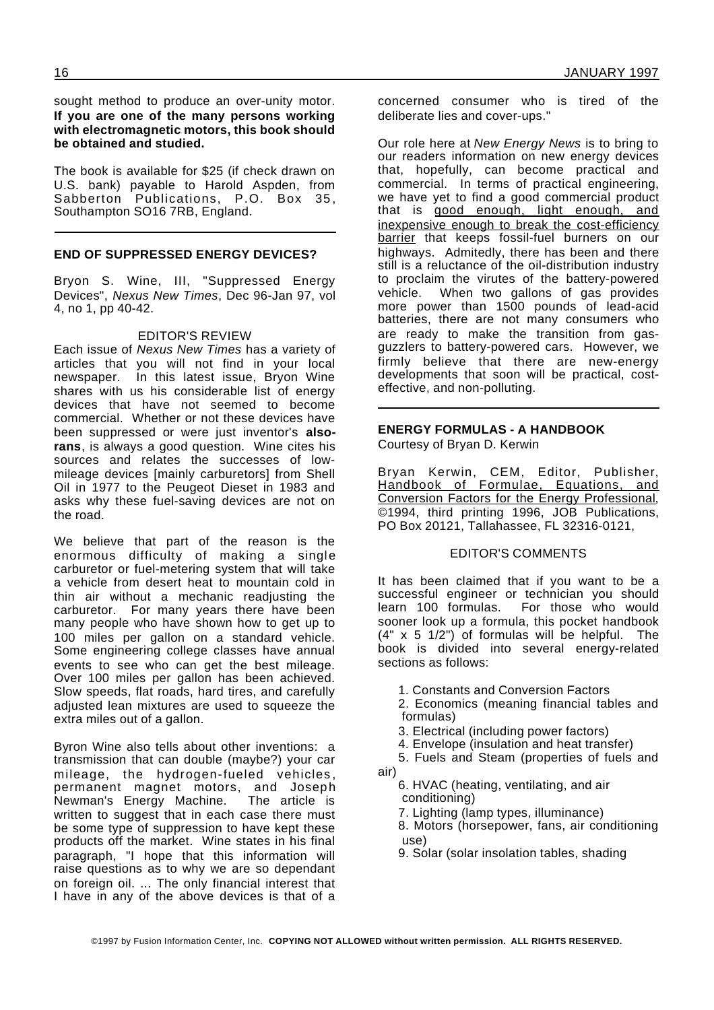sought method to produce an over-unity motor. **If you are one of the many persons working with electromagnetic motors, this book should be obtained and studied.**

The book is available for \$25 (if check drawn on U.S. bank) payable to Harold Aspden, from Sabberton Publications, P.O. Box 35, Southampton SO16 7RB, England.

#### **END OF SUPPRESSED ENERGY DEVICES?**

Bryon S. Wine, III, "Suppressed Energy Devices", *Nexus New Times*, Dec 96-Jan 97, vol 4, no 1, pp 40-42.

#### EDITOR'S REVIEW

Each issue of *Nexus New Times* has a variety of articles that you will not find in your local newspaper. In this latest issue, Bryon Wine shares with us his considerable list of energy devices that have not seemed to become commercial. Whether or not these devices have been suppressed or were just inventor's **alsorans**, is always a good question. Wine cites his sources and relates the successes of lowmileage devices [mainly carburetors] from Shell Oil in 1977 to the Peugeot Dieset in 1983 and asks why these fuel-saving devices are not on the road.

We believe that part of the reason is the enormous difficulty of making a single carburetor or fuel-metering system that will take a vehicle from desert heat to mountain cold in thin air without a mechanic readjusting the carburetor. For many years there have been many people who have shown how to get up to 100 miles per gallon on a standard vehicle. Some engineering college classes have annual events to see who can get the best mileage. Over 100 miles per gallon has been achieved. Slow speeds, flat roads, hard tires, and carefully adjusted lean mixtures are used to squeeze the extra miles out of a gallon.

Byron Wine also tells about other inventions: a transmission that can double (maybe?) your car mileage, the hydrogen-fueled vehicles , permanent magnet motors, and Joseph Newman's Energy Machine. The article is written to suggest that in each case there must be some type of suppression to have kept these products off the market. Wine states in his final paragraph, "I hope that this information will raise questions as to why we are so dependant on foreign oil. ... The only financial interest that I have in any of the above devices is that of a

concerned consumer who is tired of the deliberate lies and cover-ups."

Our role here at *New Energy News* is to bring to our readers information on new energy devices that, hopefully, can become practical and commercial. In terms of practical engineering, we have yet to find a good commercial product that is good enough, light enough, and inexpensive enough to break the cost-efficiency barrier that keeps fossil-fuel burners on our highways. Admitedly, there has been and there still is a reluctance of the oil-distribution industry to proclaim the virutes of the battery-powered vehicle. When two gallons of gas provides more power than 1500 pounds of lead-acid batteries, there are not many consumers who are ready to make the transition from gasguzzlers to battery-powered cars. However, we firmly believe that there are new-energy developments that soon will be practical, costeffective, and non-polluting.

## **ENERGY FORMULAS - A HANDBOOK**

Courtesy of Bryan D. Kerwin

Bryan Kerwin, CEM, Editor, Publisher, Handbook of Formulae, Equations, and Conversion Factors for the Energy Professional, ©1994, third printing 1996, JOB Publications, PO Box 20121, Tallahassee, FL 32316-0121,

#### EDITOR'S COMMENTS

It has been claimed that if you want to be a successful engineer or technician you should learn 100 formulas. For those who would sooner look up a formula, this pocket handbook (4" x 5 1/2") of formulas will be helpful. The book is divided into several energy-related sections as follows:

- 1. Constants and Conversion Factors
- 2. Economics (meaning financial tables and formulas)
- 3. Electrical (including power factors)
- 4. Envelope (insulation and heat transfer)
- 5. Fuels and Steam (properties of fuels and air)
	- 6. HVAC (heating, ventilating, and air conditioning)
	- 7. Lighting (lamp types, illuminance)
	- 8. Motors (horsepower, fans, air conditioning use)

9. Solar (solar insolation tables, shading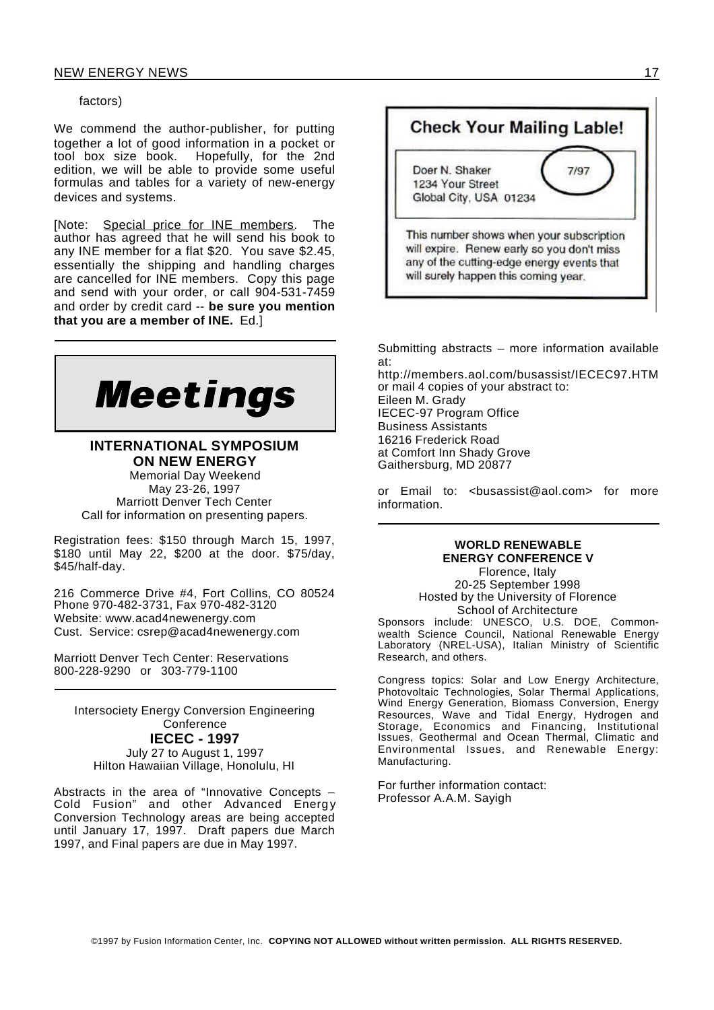#### factors)

We commend the author-publisher, for putting together a lot of good information in a pocket or tool box size book. Hopefully, for the 2nd edition, we will be able to provide some useful formulas and tables for a variety of new-energy devices and systems.

[Note: Special price for INE members. The author has agreed that he will send his book to any INE member for a flat \$20. You save \$2.45, essentially the shipping and handling charges are cancelled for INE members. Copy this page and send with your order, or call 904-531-7459 and order by credit card -- **be sure you mention that you are a member of INE.** Ed.]



**INTERNATIONAL SYMPOSIUM ON NEW ENERGY** Memorial Day Weekend May 23-26, 1997 Marriott Denver Tech Center Call for information on presenting papers.

Registration fees: \$150 through March 15, 1997, \$180 until May 22, \$200 at the door. \$75/day, \$45/half-day.

216 Commerce Drive #4, Fort Collins, CO 80524 Phone 970-482-3731, Fax 970-482-3120 Website: www.acad4newenergy.com Cust. Service: csrep@acad4newenergy.com

Marriott Denver Tech Center: Reservations 800-228-9290 or 303-779-1100

Intersociety Energy Conversion Engineering **Conference IECEC - 1997** July 27 to August 1, 1997 Hilton Hawaiian Village, Honolulu, HI

Abstracts in the area of "Innovative Concepts – Cold Fusion" and other Advanced Energy Conversion Technology areas are being accepted until January 17, 1997. Draft papers due March 1997, and Final papers are due in May 1997.



Submitting abstracts – more information available at:

http://members.aol.com/busassist/IECEC97.HTM or mail 4 copies of your abstract to: Eileen M. Grady IECEC-97 Program Office Business Assistants 16216 Frederick Road at Comfort Inn Shady Grove Gaithersburg, MD 20877

or Email to: <busassist@aol.com> for more information.

#### **WORLD RENEWABLE ENERGY CONFERENCE V**

Florence, Italy 20-25 September 1998 Hosted by the University of Florence School of Architecture

Sponsors include: UNESCO, U.S. DOE, Commonwealth Science Council, National Renewable Energy Laboratory (NREL-USA), Italian Ministry of Scientific Research, and others.

Congress topics: Solar and Low Energy Architecture, Photovoltaic Technologies, Solar Thermal Applications, Wind Energy Generation, Biomass Conversion, Energy Resources, Wave and Tidal Energy, Hydrogen and Storage, Economics and Financing, Institutional Issues, Geothermal and Ocean Thermal, Climatic and Environmental Issues, and Renewable Energy: Manufacturing.

For further information contact: Professor A.A.M. Sayigh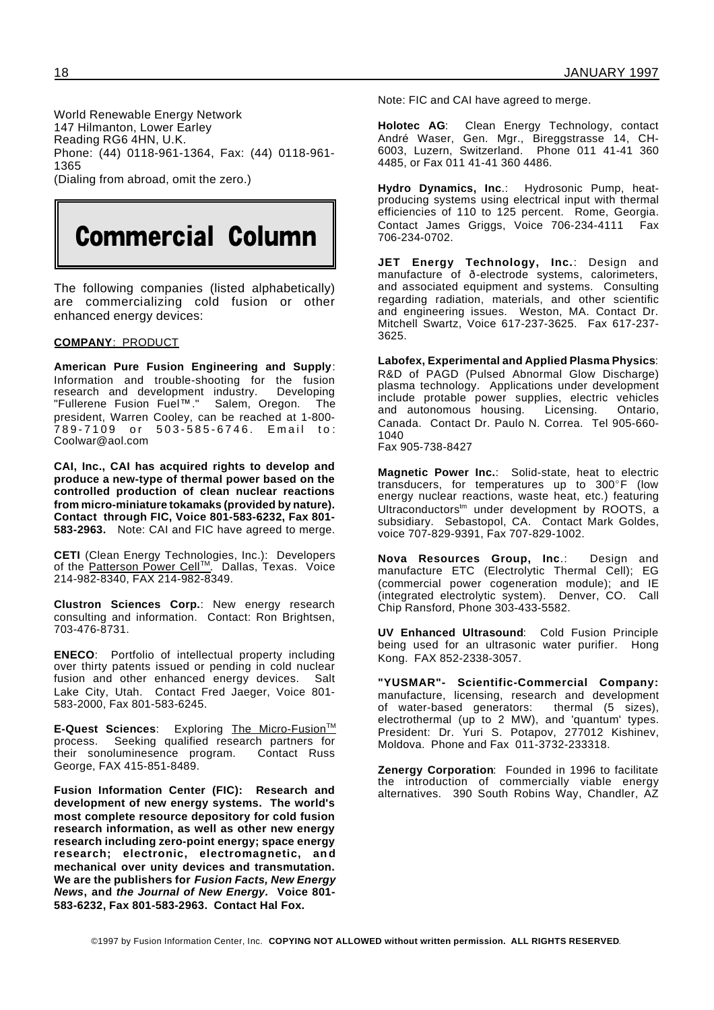World Renewable Energy Network 147 Hilmanton, Lower Earley Reading RG6 4HN, U.K. Phone: (44) 0118-961-1364, Fax: (44) 0118-961- 1365 (Dialing from abroad, omit the zero.)

# Commercial Column

The following companies (listed alphabetically) are commercializing cold fusion or other enhanced energy devices:

#### **COMPANY**: PRODUCT

**American Pure Fusion Engineering and Supply**: Information and trouble-shooting for the fusion<br>research and development industry. Developing research and development industry. Deve<br>"Fullerene Fusion Fuel™." Salem. Oregon. "Fullerene Fusion Fuel™." Salem, Oregon. The president, Warren Cooley, can be reached at 1-800- 7 8 9 - 7 1 0 9 o r 5 0 3 - 5 8 5 - 6 7 4 6 . E m a i l t o : Coolwar@aol.com

**CAI, Inc., CAI has acquired rights to develop and produce a new-type of thermal power based on the controlled production of clean nuclear reactions from micro-miniature tokamaks (provided by nature). Contact through FIC, Voice 801-583-6232, Fax 801- 583-2963.** Note: CAI and FIC have agreed to merge.

**CETI** (Clean Energy Technologies, Inc.): Developers of the Patterson Power Cell™. Dallas, Texas. Voice 214-982-8340, FAX 214-982-8349.

**Clustron Sciences Corp.**: New energy research consulting and information. Contact: Ron Brightsen, 703-476-8731.

**ENECO**: Portfolio of intellectual property including over thirty patents issued or pending in cold nuclear fusion and other enhanced energy devices. Salt Lake City, Utah. Contact Fred Jaeger, Voice 801- 583-2000, Fax 801-583-6245.

**E-Quest Sciences:** Exploring The Micro-Fusion<sup>™</sup><br>process. Seeking qualified research partners for Seeking qualified research partners for their sonoluminesence program. Contact Russ George, FAX 415-851-8489.

**Fusion Information Center (FIC): Research and development of new energy systems. The world's most complete resource depository for cold fusion research information, as well as other new energy research including zero-point energy; space energy research; electronic, electromagnetic, an d mechanical over unity devices and transmutation. We are the publishers for** *Fusion Facts, New Energy News***, and** *the Journal of New Energy.* **Voice 801- 583-6232, Fax 801-583-2963. Contact Hal Fox.**

Note: FIC and CAI have agreed to merge.

**Holotec AG**: Clean Energy Technology, contact André Waser, Gen. Mgr., Bireggstrasse 14, CH-6003, Luzern, Switzerland. Phone 011 41-41 360 4485, or Fax 011 41-41 360 4486.

**Hydro Dynamics, Inc**.: Hydrosonic Pump, heatproducing systems using electrical input with thermal efficiencies of 110 to 125 percent. Rome, Georgia. Contact James Griggs, Voice 706-234-4111 Fax 706-234-0702.

**JET Energy Technology, Inc.**: Design and manufacture of ð-electrode systems, calorimeters, and associated equipment and systems. Consulting regarding radiation, materials, and other scientific and engineering issues. Weston, MA. Contact Dr. Mitchell Swartz, Voice 617-237-3625. Fax 617-237- 3625.

**Labofex, Experimental and Applied Plasma Physics**: R&D of PAGD (Pulsed Abnormal Glow Discharge) plasma technology. Applications under development include protable power supplies, electric vehicles and autonomous housing. Licensing. Ontario, Canada. Contact Dr. Paulo N. Correa. Tel 905-660- 1040 Fax 905-738-8427

**Magnetic Power Inc.**: Solid-state, heat to electric transducers, for temperatures up to  $300^{\circ}$ F (low energy nuclear reactions, waste heat, etc.) featuring Ultraconductors<sup>tm</sup> under development by ROOTS, a subsidiary. Sebastopol, CA. Contact Mark Goldes, voice 707-829-9391, Fax 707-829-1002.

**Nova Resources Group, Inc**.: Design and manufacture ETC (Electrolytic Thermal Cell); EG (commercial power cogeneration module); and IE (integrated electrolytic system). Denver, CO. Call Chip Ransford, Phone 303-433-5582.

**UV Enhanced Ultrasound**: Cold Fusion Principle being used for an ultrasonic water purifier. Hong Kong. FAX 852-2338-3057.

**"YUSMAR"- Scientific-Commercial Company:** manufacture, licensing, research and development of water-based generators: thermal (5 sizes), electrothermal (up to 2 MW), and 'quantum' types. President: Dr. Yuri S. Potapov, 277012 Kishinev, Moldova. Phone and Fax 011-3732-233318.

**Zenergy Corporation**: Founded in 1996 to facilitate the introduction of commercially viable energy alternatives. 390 South Robins Way, Chandler, AZ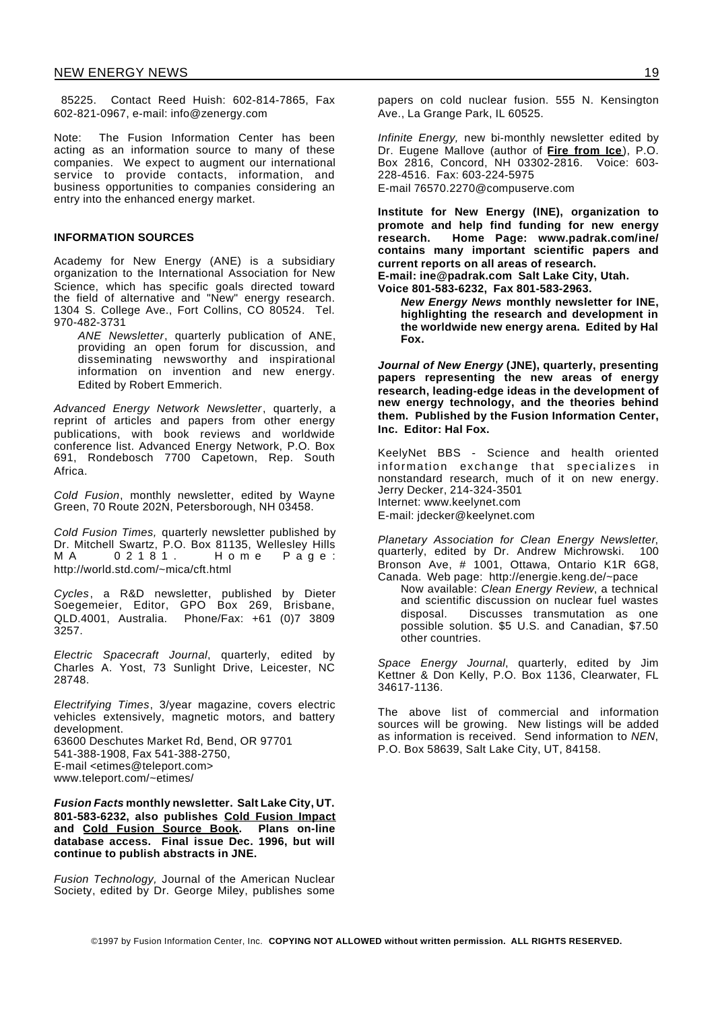85225. Contact Reed Huish: 602-814-7865, Fax 602-821-0967, e-mail: info@zenergy.com

Note: The Fusion Information Center has been acting as an information source to many of these companies. We expect to augment our international service to provide contacts, information, and business opportunities to companies considering an entry into the enhanced energy market.

#### **INFORMATION SOURCES**

Academy for New Energy (ANE) is a subsidiary organization to the International Association for New Science, which has specific goals directed toward the field of alternative and "New" energy research. 1304 S. College Ave., Fort Collins, CO 80524. Tel. 970-482-3731

*ANE Newsletter*, quarterly publication of ANE, providing an open forum for discussion, and disseminating newsworthy and inspirational information on invention and new energy. Edited by Robert Emmerich.

*Advanced Energy Network Newsletter*, quarterly, a reprint of articles and papers from other energy publications, with book reviews and worldwide conference list. Advanced Energy Network, P.O. Box 691, Rondebosch 7700 Capetown, Rep. South Africa.

*Cold Fusion*, monthly newsletter, edited by Wayne Green, 70 Route 202N, Petersborough, NH 03458.

*Cold Fusion Times,* quarterly newsletter published by Dr. Mitchell Swartz, P.O. Box 81135, Wellesley Hills M A 0 2 1 8 1. H o m e P a g e : http://world.std.com/~mica/cft.html

*Cycles*, a R&D newsletter, published by Dieter Soegemeier, Editor, GPO Box 269, Brisbane, QLD.4001, Australia. Phone/Fax: +61 (0)7 3809 3257.

*Electric Spacecraft Journal*, quarterly, edited by Charles A. Yost, 73 Sunlight Drive, Leicester, NC 28748.

*Electrifying Times*, 3/year magazine, covers electric vehicles extensively, magnetic motors, and battery development. 63600 Deschutes Market Rd, Bend, OR 97701 541-388-1908, Fax 541-388-2750, E-mail <etimes@teleport.com> www.teleport.com/~etimes/

*Fusion Facts* **monthly newsletter. Salt Lake City, UT. 801-583-6232, also publishes Cold Fusion Impact and Cold Fusion Source Book. Plans on-line database access. Final issue Dec. 1996, but will continue to publish abstracts in JNE.**

*Fusion Technology,* Journal of the American Nuclear Society, edited by Dr. George Miley, publishes some

papers on cold nuclear fusion. 555 N. Kensington Ave., La Grange Park, IL 60525.

*Infinite Energy,* new bi-monthly newsletter edited by Dr. Eugene Mallove (author of **Fire from Ice**), P.O. Box 2816, Concord, NH 03302-2816. Voice: 603- 228-4516. Fax: 603-224-5975 E-mail 76570.2270@compuserve.com

**Institute for New Energy (INE), organization to promote and help find funding for new energy research. Home Page: www.padrak.com/ine/ contains many important scientific papers and current reports on all areas of research. E-mail: ine@padrak.com Salt Lake City, Utah. Voice 801-583-6232, Fax 801-583-2963.**

*New Energy News* **monthly newsletter for INE, highlighting the research and development in the worldwide new energy arena. Edited by Hal Fox.**

*Journal of New Energy* **(JNE), quarterly, presenting papers representing the new areas of energy research, leading-edge ideas in the development of new energy technology, and the theories behind them. Published by the Fusion Information Center, Inc. Editor: Hal Fox.**

KeelyNet BBS - Science and health oriented information exchange that specializes in nonstandard research, much of it on new energy. Jerry Decker, 214-324-3501 Internet: www.keelynet.com E-mail: jdecker@keelynet.com

*Planetary Association for Clean Energy Newsletter*, quarterly, edited by Dr. Andrew Michrowski. 100 Bronson Ave, # 1001, Ottawa, Ontario K1R 6G8, Canada. Web page: http://energie.keng.de/~pace

Now available: *Clean Energy Review*, a technical and scientific discussion on nuclear fuel wastes disposal. Discusses transmutation as one possible solution. \$5 U.S. and Canadian, \$7.50 other countries.

*Space Energy Journal*, quarterly, edited by Jim Kettner & Don Kelly, P.O. Box 1136, Clearwater, FL 34617-1136.

The above list of commercial and information sources will be growing. New listings will be added as information is received. Send information to *NEN*, P.O. Box 58639, Salt Lake City, UT, 84158.